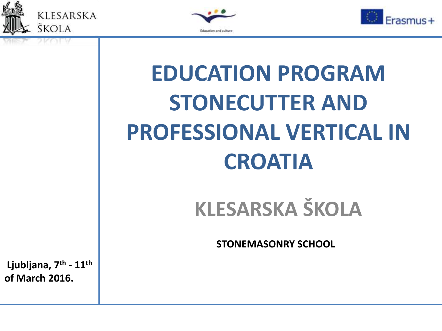





# **EDUCATION PROGRAM STONECUTTER AND PROFESSIONAL VERTICAL IN CROATIA**

## **KLESARSKA ŠKOLA**

**STONEMASONRY SCHOOL**

**Ljubljana, 7th - 11th of March 2016.**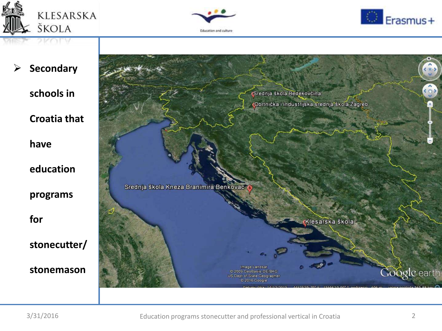





**Secondary** 

**schools in** 

**Croatia that** 

**have** 

**education** 

**programs** 

**for** 

**stonecutter/**

**stonemason** 

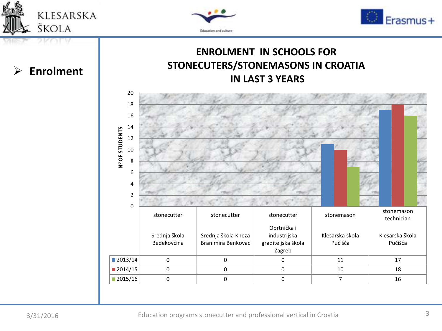





### **ENROLMENT IN SCHOOLS FOR STONECUTERS/STONEMASONS IN CROATIA IN LAST 3 YEARS**



### **Enrolment**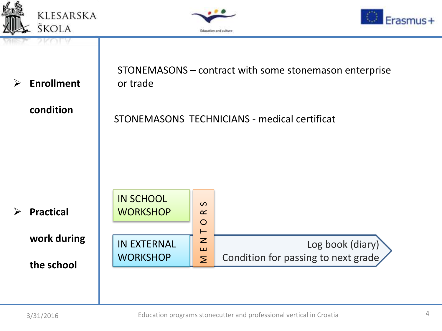





| $\blacktriangleright$ | <b>Enrollment</b><br>condition | STONEMASONS - contract with some stonemason enterprise<br>or trade<br>STONEMASONS TECHNICIANS - medical certificat |                      |                                     |
|-----------------------|--------------------------------|--------------------------------------------------------------------------------------------------------------------|----------------------|-------------------------------------|
|                       |                                |                                                                                                                    |                      |                                     |
|                       |                                |                                                                                                                    |                      |                                     |
|                       |                                |                                                                                                                    |                      |                                     |
| $\blacktriangleright$ | <b>Practical</b>               | <b>IN SCHOOL</b><br><b>WORKSHOP</b>                                                                                | $\Omega$<br>$\alpha$ |                                     |
|                       |                                |                                                                                                                    | $\circ$<br>$\vdash$  |                                     |
|                       | work during                    | <b>IN EXTERNAL</b>                                                                                                 | $\mathbf{z}$<br>ш    | Log book (diary)                    |
|                       | the school                     | <b>WORKSHOP</b>                                                                                                    | $\sum$               | Condition for passing to next grade |
|                       |                                |                                                                                                                    |                      |                                     |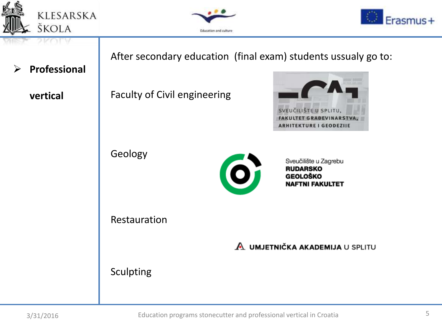





After secondary education (final exam) students ussualy go to: **Professional**  Faculty of Civil engineering **vertical** SVEUČILIŠTE U SPLITU, **FAKULTET GRAĐEVINARSTVA ARHITEKTURE I GEODEZIJE** Geology Sveučilište u Zagrebu  $\bullet$ **RUDARSKO GEOLOŠKO NAFTNI FAKULTET** Restauration A UMJETNIČKA AKADEMIJA U SPLITU Sculpting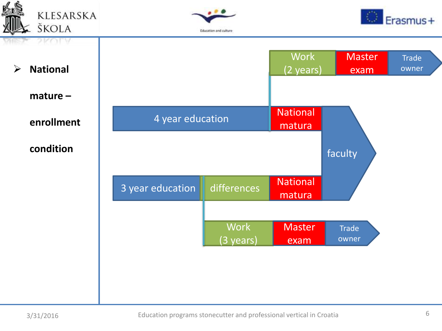





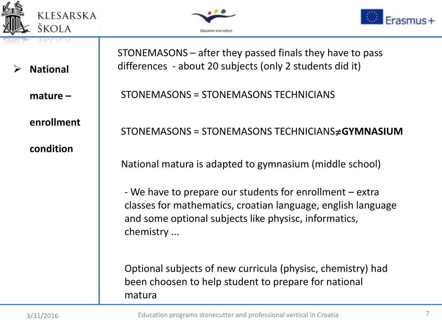





**National** 

**mature –**

**enrollment** 

**condition**

STONEMASONS – after they passed finals they have to pass differences - about 20 subjects (only 2 students did it)

STONEMASONS = STONEMASONS TECHNICIANS

### STONEMASONS = STONEMASONS TECHNICIANS≠**GYMNASIUM**

National matura is adapted to gymnasium (middle school)

- We have to prepare our students for enrollment – extra classes for mathematics, croatian language, english language and some optional subjects like physisc, informatics, chemistry ...

Optional subjects of new curricula (physisc, chemistry) had been choosen to help student to prepare for national matura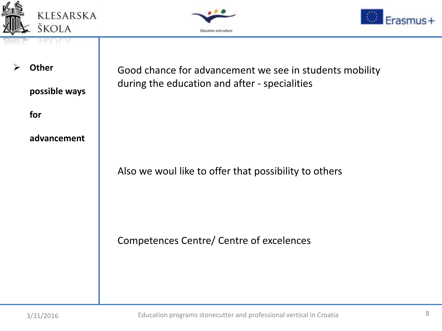





**Other** 

**possible ways** 

**for** 

### **advancement**

Good chance for advancement we see in students mobility during the education and after - specialities

Also we woul like to offer that possibility to others

Competences Centre/ Centre of excelences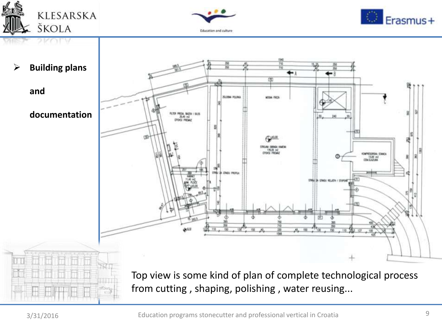





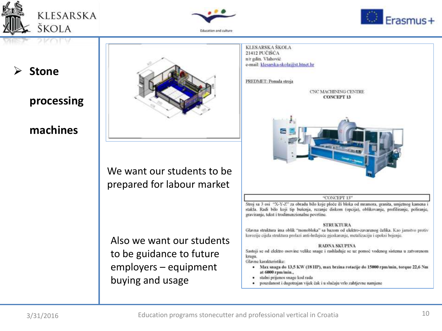





### **Stone**

### **processing**

### **machines**



We want our students to be prepared for labour market

Also we want our students to be guidance to future employers – equipment buying and usage

KLESARSKA ŠKOLA 21412 PUCISCA n'r gdin. Vlahovič e-mail: klesarska-skola@st.htnet.hr PREDMET: Ponuda stroja **CNC MACHINING CENTRE CONCEPT 13** "CONCEPT 13" Stroj sa 3 osi "X-Y-Z" za obradu bilo koje ploče ili bloka od mramora, granita, umjetnog kamena i stakla. Radi bilo koji tip bušenja, rezanje diskom (opcija), oblikovanje, profiliranje, poliranje, graviranje, tekst i trodimenzionalne površine. **STRUKTURA** Glavna struktura ima oblik "monobloka" sa bazom od elektro-zavarenog čelika. Kao jamstvo protiv korozije cijela struktura prolazi anti-hrđajuće pjeskarenje, metalizaciju i epoksi bojenje. **RADNA SKUPINA** Sastoji se od elektro osovine velike snage i rashlađuje se uz pomoć vodenog sistema u zatvorenom krugu. Glavne karakteristike: \* Max snaga do 13,5 KW (18 HP), max brzina rotacije do 15000 rpm/min, torque 22,6 Nm at 6000 rpm/min.,

- stalni prijenos snage kod rada
- pouzdanost i dugotrajan vijek čak i u slučaju vrlo zahtjevne namjene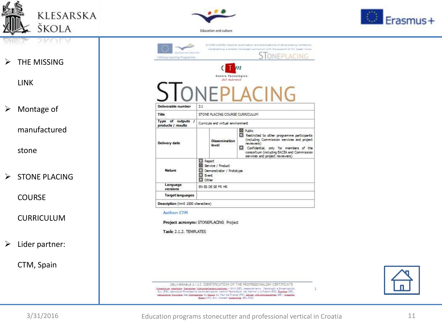





 $\triangleright$  THE MISSING

LINK

Montage of

manufactured

stone

 $\triangleright$  STONE PLACING

**COURSE** 

CURRICULUM

 $\triangleright$  Lider partner:

CTM, Spain

| cialism and Culture Inc.<br>Lifetong Learning Programme |                                                                                    | STONEPLACING                                                                                                                                                                                                                                         |  |
|---------------------------------------------------------|------------------------------------------------------------------------------------|------------------------------------------------------------------------------------------------------------------------------------------------------------------------------------------------------------------------------------------------------|--|
| Deliverable number                                      | Centro Tecnológico<br>del marmol<br>2.1                                            |                                                                                                                                                                                                                                                      |  |
| Title                                                   | STONE PLACING COURSE CURRICULUM                                                    |                                                                                                                                                                                                                                                      |  |
| Type of outputs /<br>products / results                 | Curricula and virtual environment                                                  |                                                                                                                                                                                                                                                      |  |
| Delivery date                                           | <b>Dissemination</b><br>level                                                      | <b>XI Public</b><br>Restricted to other programme participants<br>(including Commission services and project<br>reviewers)<br>Confidential, only for members of the<br>consortium (including EACEA and Commission<br>services and project reviewers) |  |
| <b>Nature</b>                                           | Report<br>S Service / Product<br>Demonstrator / Prototype<br><b>Event</b><br>Other |                                                                                                                                                                                                                                                      |  |
| Language<br>versions                                    | EN ES DE SE FR HR                                                                  |                                                                                                                                                                                                                                                      |  |
| <b>Target languages</b>                                 |                                                                                    |                                                                                                                                                                                                                                                      |  |

#### Author: CTM

Project acronym: STONEPLACING Project

Task: 2.1.2. TEMPLATES

DELIVERABLE 2.1.2.1. IDENTIFICATION OF THE PROFESSIONALISM CERTIFICATE .<br>Corective Geobert Corecho botoverial contractor - 2011 (25), Associations, Teadlight & Investigation<br>5 L. (55), Association Empressinal de Investigación Centra Teatralistics del Mármal y la Piedra (55), Europoe Gespousses Couples des Consesses du Couple du Teur de France (FR), Coupe Obbitainement (SE), Compéte<br>Coupe (FR), S.C. Concert Couples (FR), S.C. Concert Couplating, SRL (FD)



d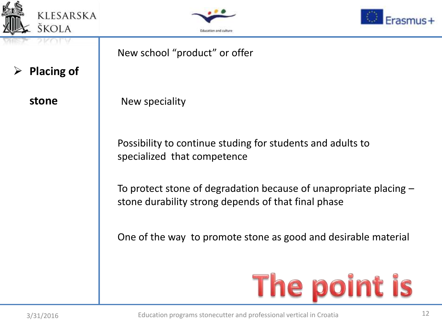





**Placing of** 

**stone**

New school "product" or offer New speciality Possibility to continue studing for students and adults to specialized that competence To protect stone of degradation because of unapropriate placing – stone durability strong depends of that final phase One of the way to promote stone as good and desirable materialThe point is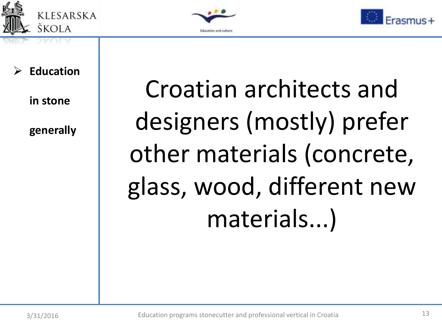





### **Education**

**in stone** 

**generally**

Croatian architects and designers (mostly) prefer other materials (concrete, glass, wood, different new materials...)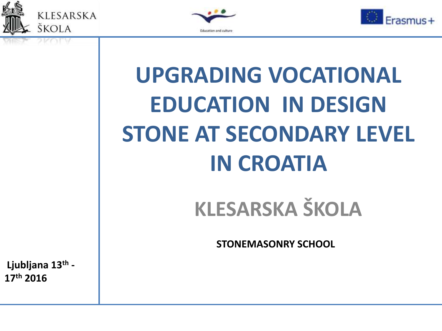





# **UPGRADING VOCATIONAL EDUCATION IN DESIGN STONE AT SECONDARY LEVEL IN CROATIA**

## **KLESARSKA ŠKOLA**

**STONEMASONRY SCHOOL**

**Ljubljana 13th - 17th 2016**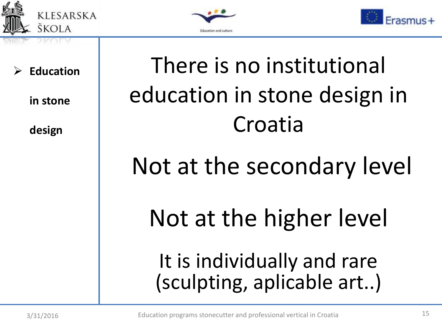





**Education** 

**in stone** 

**design**

## There is no institutional education in stone design in Croatia

## Not at the secondary level

# Not at the higher level

## It is individually and rare (sculpting, aplicable art..)